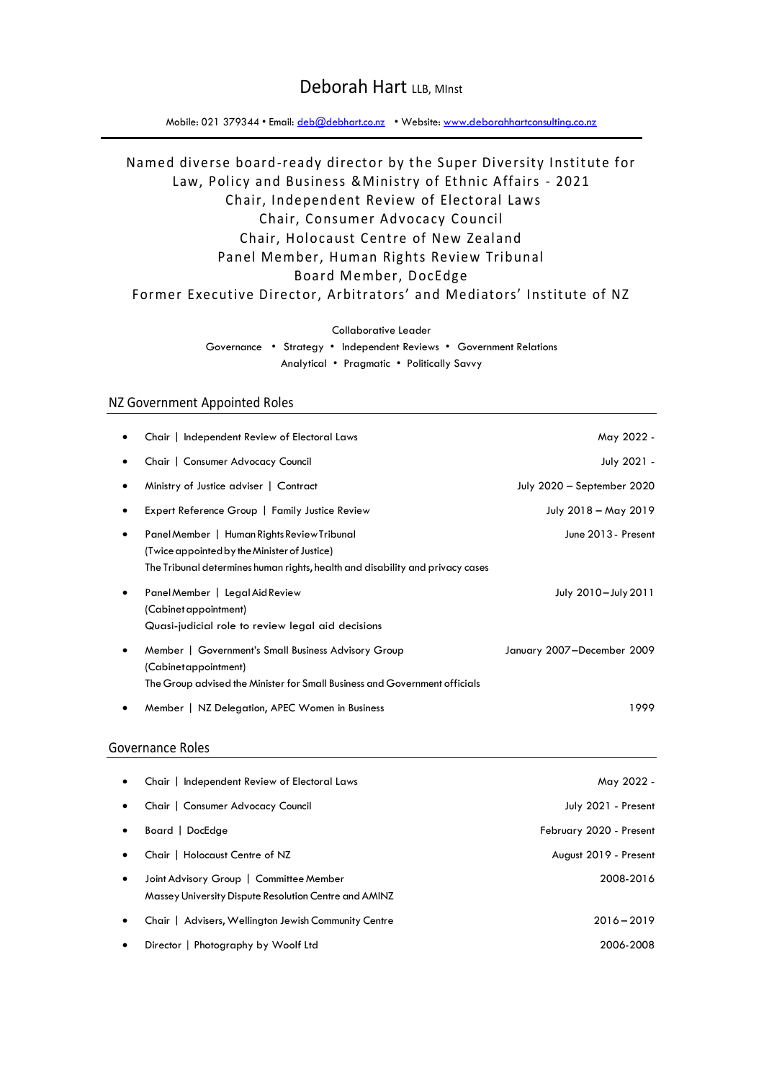# Deborah Hart LLB, MInst

Mobile: 021 379344 • Email: [deb@debhart.co.nz](mailto:deb@debhart.co.nz) • Website: [www.deborahhartconsulting.co.nz](http://www.deborahhartconsulting.co.nz/)

# Named diverse board-ready director by the Super Diversity Institute for Law, Policy and Business & Ministry of Ethnic Affairs - 2021 Chair, Independent Review of Electoral Laws Chair, Consumer Advocacy Council Chair, Holocaust Centre of New Zealand Panel Member, Human Rights Review Tribunal Board Member, DocEdge Former Executive Director, Arbitrators' and Mediators' Institute of NZ

Collaborative Leader

Governance • Strategy • Independent Reviews • Government Relations Analytical • Pragmatic • Politically Savvy

### NZ Government Appointed Roles

|           | Chair   Independent Review of Electoral Laws                                                                                                                                 | May 2022 -                 |
|-----------|------------------------------------------------------------------------------------------------------------------------------------------------------------------------------|----------------------------|
|           | Chair   Consumer Advocacy Council                                                                                                                                            | July 2021 -                |
|           | Ministry of Justice adviser   Contract                                                                                                                                       | July 2020 - September 2020 |
| ٠         | Expert Reference Group   Family Justice Review                                                                                                                               | July 2018 - May 2019       |
| $\bullet$ | Panel Member   Human Rights Review Tribunal<br>(Twice appointed by the Minister of Justice)<br>The Tribunal determines human rights, health and disability and privacy cases | June 2013 - Present        |
| ٠         | Panel Member   Legal Aid Review<br>(Cabinet appointment)<br>Quasi-judicial role to review legal aid decisions                                                                | July 2010-July 2011        |
| $\bullet$ | Member   Government's Small Business Advisory Group<br>(Cabinetappointment)<br>The Group advised the Minister for Small Business and Government officials                    | January 2007-December 2009 |
| ٠         | Member   NZ Delegation, APEC Women in Business                                                                                                                               | 1999                       |

### Governance Roles

| $\bullet$ | Chair   Independent Review of Electoral Laws                                                     | May 2022 -              |
|-----------|--------------------------------------------------------------------------------------------------|-------------------------|
| $\bullet$ | Chair   Consumer Advocacy Council                                                                | July 2021 - Present     |
| $\bullet$ | Board   DocEdge                                                                                  | February 2020 - Present |
| $\bullet$ | Chair   Holocaust Centre of NZ                                                                   | August 2019 - Present   |
| $\bullet$ | Joint Advisory Group   Committee Member<br>Massey University Dispute Resolution Centre and AMINZ | 2008-2016               |
| $\bullet$ | Chair   Advisers, Wellington Jewish Community Centre                                             | $2016 - 2019$           |
| $\bullet$ | Director   Photography by Woolf Ltd                                                              | 2006-2008               |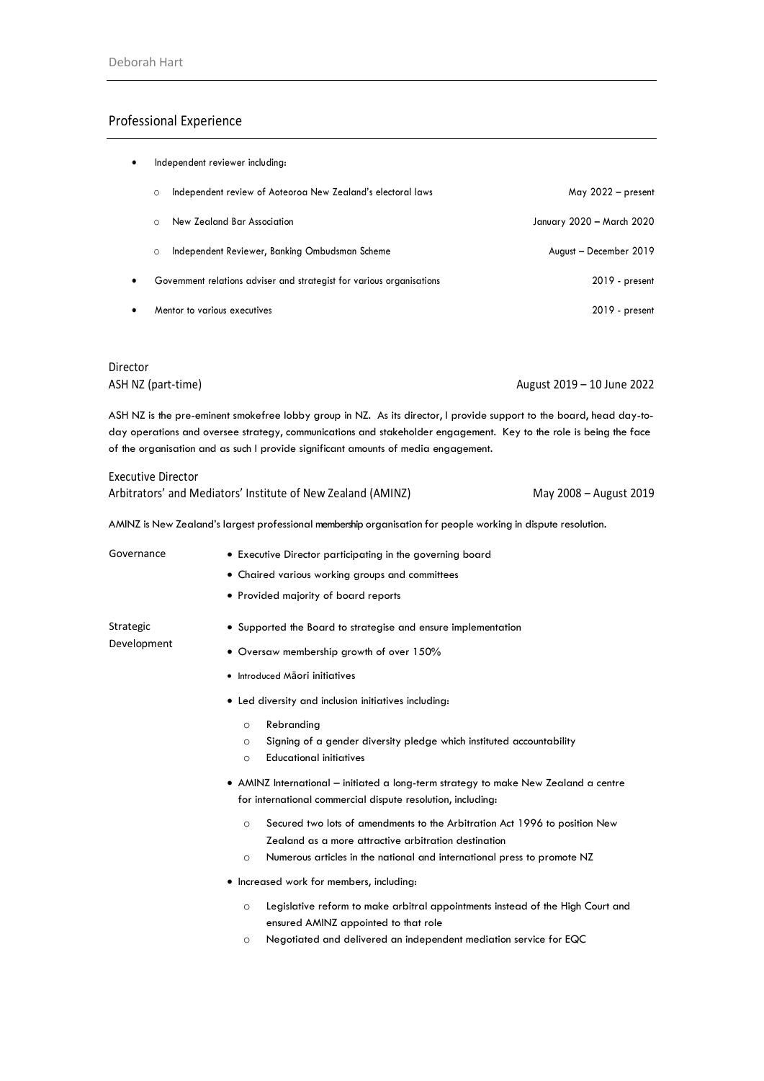### Professional Experience

| ٠         | Independent reviewer including: |                                                                       |                           |
|-----------|---------------------------------|-----------------------------------------------------------------------|---------------------------|
|           | $\circ$                         | Independent review of Aoteoroa New Zealand's electoral laws           | May $2022 - present$      |
|           |                                 | New Zealand Bar Association                                           | January 2020 – March 2020 |
|           | $\circ$                         | Independent Reviewer, Banking Ombudsman Scheme                        | August - December 2019    |
| $\bullet$ |                                 | Government relations adviser and strategist for various organisations | 2019 - present            |
|           |                                 | Mentor to various executives                                          | 2019 - present            |

# Director

ASH NZ (part-time) August 2019 – 10 June 2022

ASH NZ is the pre-eminent smokefree lobby group in NZ. As its director, I provide support to the board, head day-today operations and oversee strategy, communications and stakeholder engagement. Key to the role is being the face of the organisation and as such I provide significant amounts of media engagement.

| Executive Director                                           |                        |
|--------------------------------------------------------------|------------------------|
| Arbitrators' and Mediators' Institute of New Zealand (AMINZ) | May 2008 – August 2019 |

AMINZ is New Zealand's largest professional membership organisation for people working in dispute resolution.

| Governance  | • Executive Director participating in the governing board                                                                                                                                                                            |  |  |
|-------------|--------------------------------------------------------------------------------------------------------------------------------------------------------------------------------------------------------------------------------------|--|--|
|             | • Chaired various working groups and committees                                                                                                                                                                                      |  |  |
|             | • Provided majority of board reports                                                                                                                                                                                                 |  |  |
| Strategic   | • Supported the Board to strategise and ensure implementation                                                                                                                                                                        |  |  |
| Development | • Oversaw membership growth of over 150%                                                                                                                                                                                             |  |  |
|             | • Introduced Maori initiatives                                                                                                                                                                                                       |  |  |
|             | • Led diversity and inclusion initiatives including:                                                                                                                                                                                 |  |  |
|             | Rebranding<br>$\circ$<br>Signing of a gender diversity pledge which instituted accountability<br>$\circ$<br><b>Educational initiatives</b><br>$\circ$                                                                                |  |  |
|             | • AMINZ International – initiated a long-term strategy to make New Zealand a centre<br>for international commercial dispute resolution, including:                                                                                   |  |  |
|             | Secured two lots of amendments to the Arbitration Act 1996 to position New<br>$\Omega$<br>Zealand as a more attractive arbitration destination<br>Numerous articles in the national and international press to promote NZ<br>$\circ$ |  |  |
|             | • Increased work for members, including:                                                                                                                                                                                             |  |  |
|             | Legislative reform to make arbitral appointments instead of the High Court and<br>$\circ$<br>ensured AMINZ appointed to that role                                                                                                    |  |  |
|             | Negotiated and delivered an independent mediation service for EQC<br>$\circ$                                                                                                                                                         |  |  |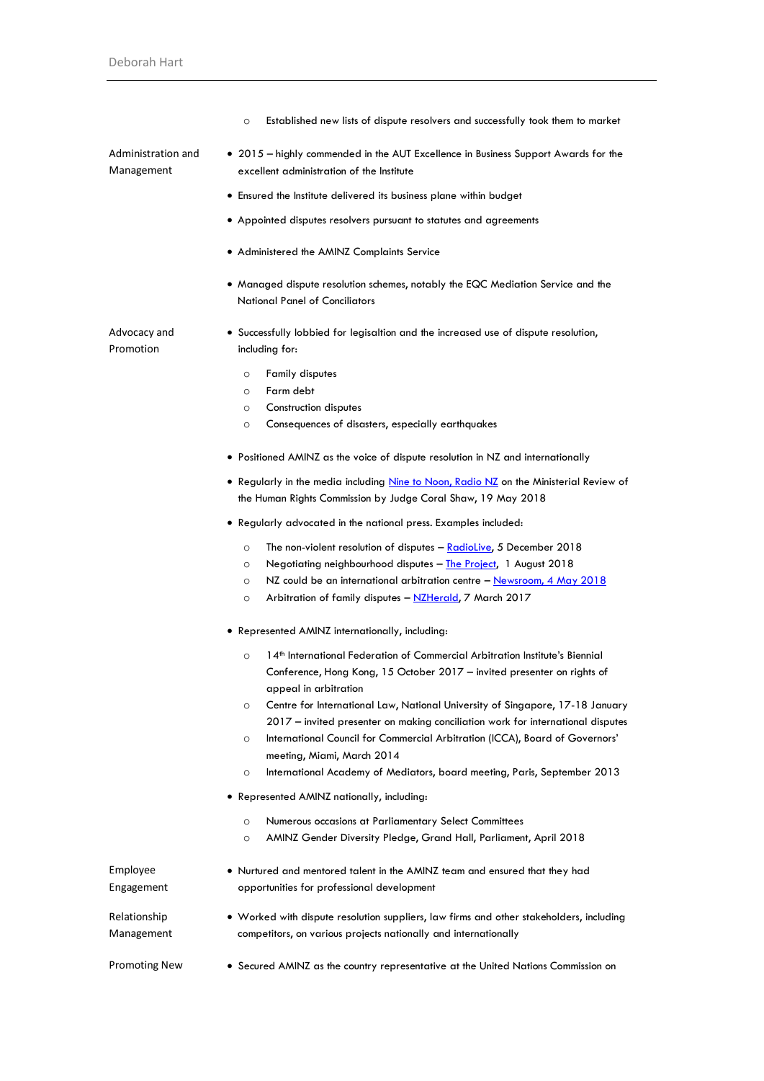|                                  | Established new lists of dispute resolvers and successfully took them to market<br>$\circ$                                                                                                                                                                                                                                                                                                                                                                                                                                                                                                 |
|----------------------------------|--------------------------------------------------------------------------------------------------------------------------------------------------------------------------------------------------------------------------------------------------------------------------------------------------------------------------------------------------------------------------------------------------------------------------------------------------------------------------------------------------------------------------------------------------------------------------------------------|
| Administration and<br>Management | • 2015 – highly commended in the AUT Excellence in Business Support Awards for the<br>excellent administration of the Institute                                                                                                                                                                                                                                                                                                                                                                                                                                                            |
|                                  | • Ensured the Institute delivered its business plane within budget                                                                                                                                                                                                                                                                                                                                                                                                                                                                                                                         |
|                                  | • Appointed disputes resolvers pursuant to statutes and agreements                                                                                                                                                                                                                                                                                                                                                                                                                                                                                                                         |
|                                  | • Administered the AMINZ Complaints Service                                                                                                                                                                                                                                                                                                                                                                                                                                                                                                                                                |
|                                  | • Managed dispute resolution schemes, notably the EQC Mediation Service and the<br><b>National Panel of Conciliators</b>                                                                                                                                                                                                                                                                                                                                                                                                                                                                   |
| Advocacy and<br>Promotion        | • Successfully lobbied for legisaltion and the increased use of dispute resolution,<br>including for:                                                                                                                                                                                                                                                                                                                                                                                                                                                                                      |
|                                  | <b>Family disputes</b><br>$\circ$                                                                                                                                                                                                                                                                                                                                                                                                                                                                                                                                                          |
|                                  | Farm debt<br>$\circ$                                                                                                                                                                                                                                                                                                                                                                                                                                                                                                                                                                       |
|                                  | Construction disputes<br>$\circ$                                                                                                                                                                                                                                                                                                                                                                                                                                                                                                                                                           |
|                                  | Consequences of disasters, especially earthquakes<br>$\circ$                                                                                                                                                                                                                                                                                                                                                                                                                                                                                                                               |
|                                  | • Positioned AMINZ as the voice of dispute resolution in NZ and internationally                                                                                                                                                                                                                                                                                                                                                                                                                                                                                                            |
|                                  | • Regularly in the media including Nine to Noon, Radio NZ on the Ministerial Review of<br>the Human Rights Commission by Judge Coral Shaw, 19 May 2018                                                                                                                                                                                                                                                                                                                                                                                                                                     |
|                                  | • Regularly advocated in the national press. Examples included:                                                                                                                                                                                                                                                                                                                                                                                                                                                                                                                            |
|                                  | The non-violent resolution of disputes - RadioLive, 5 December 2018<br>$\circ$<br>Negotiating neighbourhood disputes - The Project, 1 August 2018<br>$\circ$<br>NZ could be an international arbitration centre - Newsroom, 4 May 2018<br>$\circ$<br>Arbitration of family disputes - NZHerald, 7 March 2017<br>$\circ$                                                                                                                                                                                                                                                                    |
|                                  | • Represented AMINZ internationally, including:                                                                                                                                                                                                                                                                                                                                                                                                                                                                                                                                            |
|                                  | 14th International Federation of Commercial Arbitration Institute's Biennial<br>$\circ$<br>Conference, Hong Kong, 15 October 2017 - invited presenter on rights of<br>appeal in arbitration<br>Centre for International Law, National University of Singapore, 17-18 January<br>$\circ$<br>2017 – invited presenter on making conciliation work for international disputes<br>International Council for Commercial Arbitration (ICCA), Board of Governors'<br>$\circ$<br>meeting, Miami, March 2014<br>International Academy of Mediators, board meeting, Paris, September 2013<br>$\circ$ |
|                                  | • Represented AMINZ nationally, including:                                                                                                                                                                                                                                                                                                                                                                                                                                                                                                                                                 |
|                                  | Numerous occasions at Parliamentary Select Committees<br>$\circ$<br>AMINZ Gender Diversity Pledge, Grand Hall, Parliament, April 2018<br>$\circ$                                                                                                                                                                                                                                                                                                                                                                                                                                           |
| Employee<br>Engagement           | • Nurtured and mentored talent in the AMINZ team and ensured that they had<br>opportunities for professional development                                                                                                                                                                                                                                                                                                                                                                                                                                                                   |
| Relationship                     | • Worked with dispute resolution suppliers, law firms and other stakeholders, including                                                                                                                                                                                                                                                                                                                                                                                                                                                                                                    |
| Management                       | competitors, on various projects nationally and internationally                                                                                                                                                                                                                                                                                                                                                                                                                                                                                                                            |
| <b>Promoting New</b>             | • Secured AMINZ as the country representative at the United Nations Commission on                                                                                                                                                                                                                                                                                                                                                                                                                                                                                                          |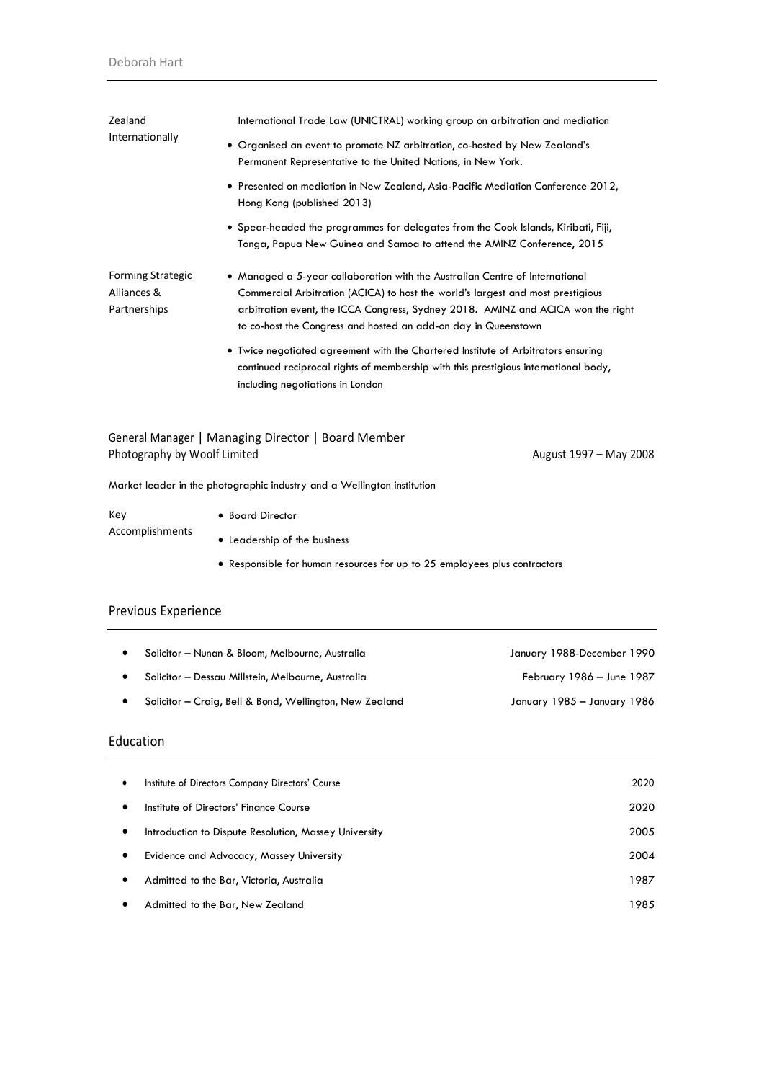| Zealand                                                 | International Trade Law (UNICTRAL) working group on arbitration and mediation                                                                                                                                                                                                                                         |  |  |
|---------------------------------------------------------|-----------------------------------------------------------------------------------------------------------------------------------------------------------------------------------------------------------------------------------------------------------------------------------------------------------------------|--|--|
| Internationally                                         | • Organised an event to promote NZ arbitration, co-hosted by New Zealand's<br>Permanent Representative to the United Nations, in New York.                                                                                                                                                                            |  |  |
|                                                         | • Presented on mediation in New Zealand, Asia-Pacific Mediation Conference 2012,<br>Hong Kong (published 2013)                                                                                                                                                                                                        |  |  |
|                                                         | • Spear-headed the programmes for delegates from the Cook Islands, Kiribati, Fiji,<br>Tonga, Papua New Guinea and Samoa to attend the AMINZ Conference, 2015                                                                                                                                                          |  |  |
| <b>Forming Strategic</b><br>Alliances &<br>Partnerships | • Managed a 5-year collaboration with the Australian Centre of International<br>Commercial Arbitration (ACICA) to host the world's largest and most prestigious<br>arbitration event, the ICCA Congress, Sydney 2018. AMINZ and ACICA won the right<br>to co-host the Congress and hosted an add-on day in Queenstown |  |  |
|                                                         | • Twice negotiated agreement with the Chartered Institute of Arbitrators ensuring<br>continued reciprocal rights of membership with this prestigious international body,<br>including negotiations in London                                                                                                          |  |  |
|                                                         | General Manager   Managing Director   Board Member                                                                                                                                                                                                                                                                    |  |  |
| Photography by Woolf Limited                            | August 1997 - May 2008                                                                                                                                                                                                                                                                                                |  |  |
|                                                         | Market leader in the photographic industry and a Wellington institution                                                                                                                                                                                                                                               |  |  |
| Key                                                     | • Board Director                                                                                                                                                                                                                                                                                                      |  |  |
| Accomplishments                                         | • Leadership of the business                                                                                                                                                                                                                                                                                          |  |  |
|                                                         | • Responsible for human resources for up to 25 employees plus contractors                                                                                                                                                                                                                                             |  |  |
|                                                         |                                                                                                                                                                                                                                                                                                                       |  |  |

## Previous Experience

| $\bullet$ | Solicitor – Nunan & Bloom, Melbourne, Australia         | January 1988-December 1990  |
|-----------|---------------------------------------------------------|-----------------------------|
|           | Solicitor – Dessau Millstein, Melbourne, Australia      | February 1986 - June 1987   |
|           | Solicitor - Craig, Bell & Bond, Wellington, New Zealand | January 1985 – January 1986 |

## Education

| $\bullet$ | Institute of Directors Company Directors' Course      | 2020 |
|-----------|-------------------------------------------------------|------|
| $\bullet$ | Institute of Directors' Finance Course                | 2020 |
| $\bullet$ | Introduction to Dispute Resolution, Massey University | 2005 |
| $\bullet$ | Evidence and Advocacy, Massey University              | 2004 |
| $\bullet$ | Admitted to the Bar, Victoria, Australia              | 1987 |
| ٠         | Admitted to the Bar, New Zealand                      | 1985 |